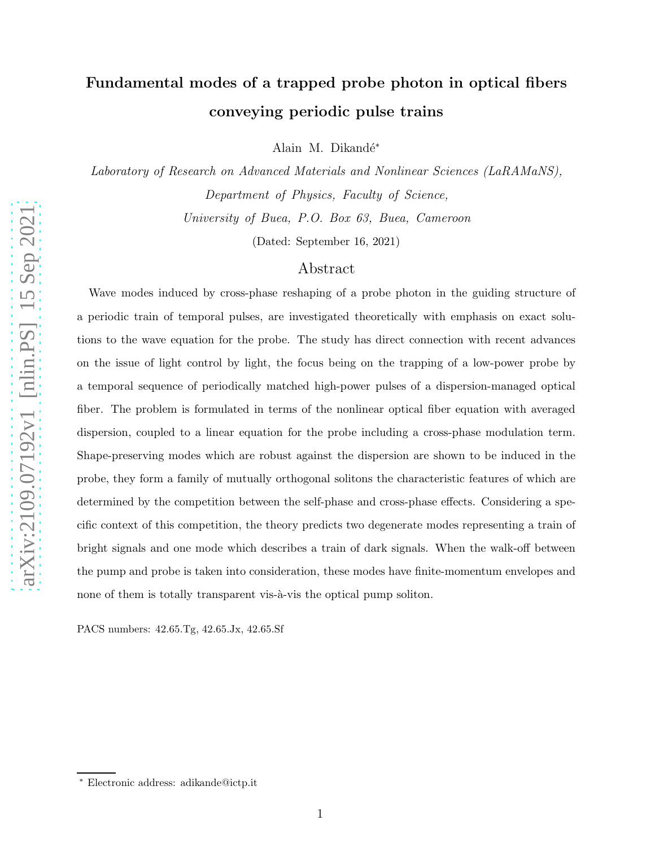# Fundamental modes of a trapped probe photon in optical fibers conveying periodic pulse trains

Alain M. Dikandé\*

Laboratory of Research on Advanced Materials and Nonlinear Sciences (LaRAMaNS), Department of Physics, Faculty of Science, University of Buea, P.O. Box 63, Buea, Cameroon

(Dated: September 16, 2021)

### Abstract

Wave modes induced by cross-phase reshaping of a probe photon in the guiding structure of a periodic train of temporal pulses, are investigated theoretically with emphasis on exact solutions to the wave equation for the probe. The study has direct connection with recent advances on the issue of light control by light, the focus being on the trapping of a low-power probe by a temporal sequence of periodically matched high-power pulses of a dispersion-managed optical fiber. The problem is formulated in terms of the nonlinear optical fiber equation with averaged dispersion, coupled to a linear equation for the probe including a cross-phase modulation term. Shape-preserving modes which are robust against the dispersion are shown to be induced in the probe, they form a family of mutually orthogonal solitons the characteristic features of which are determined by the competition between the self-phase and cross-phase effects. Considering a specific context of this competition, the theory predicts two degenerate modes representing a train of bright signals and one mode which describes a train of dark signals. When the walk-off between the pump and probe is taken into consideration, these modes have finite-momentum envelopes and none of them is totally transparent vis- $\hat{a}$ -vis the optical pump soliton.

PACS numbers: 42.65.Tg, 42.65.Jx, 42.65.Sf

<sup>∗</sup> Electronic address: adikande@ictp.it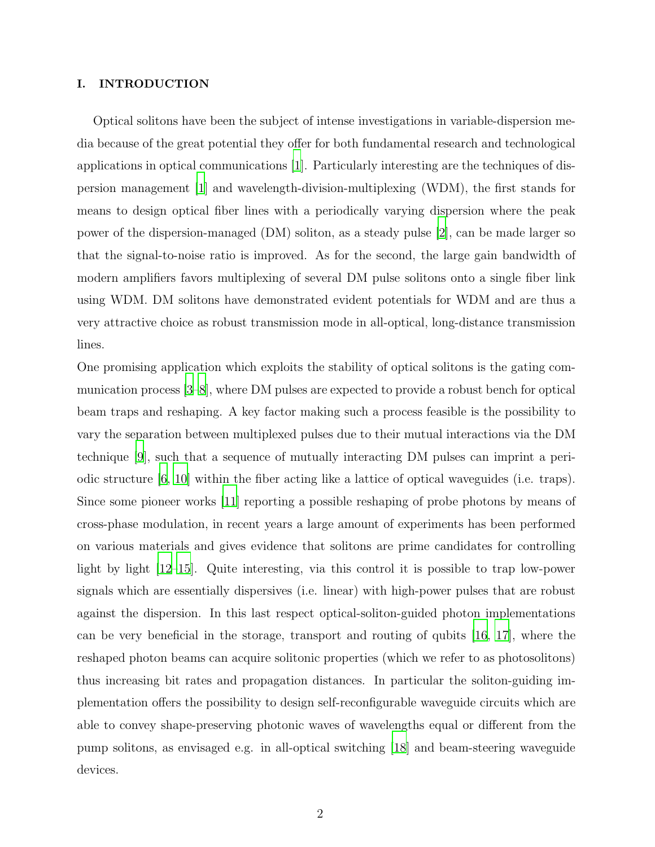### I. INTRODUCTION

Optical solitons have been the subject of intense investigations in variable-dispersion media because of the great potential they offer for both fundamental research and technological applications in optical communications [\[1](#page-8-0)]. Particularly interesting are the techniques of dispersion management [\[1](#page-8-0)] and wavelength-division-multiplexing (WDM), the first stands for means to design optical fiber lines with a periodically varying dispersion where the peak power of the dispersion-managed (DM) soliton, as a steady pulse [\[2](#page-8-1)], can be made larger so that the signal-to-noise ratio is improved. As for the second, the large gain bandwidth of modern amplifiers favors multiplexing of several DM pulse solitons onto a single fiber link using WDM. DM solitons have demonstrated evident potentials for WDM and are thus a very attractive choice as robust transmission mode in all-optical, long-distance transmission lines.

One promising application which exploits the stability of optical solitons is the gating communication process [\[3](#page-8-2)[–8](#page-8-3)], where DM pulses are expected to provide a robust bench for optical beam traps and reshaping. A key factor making such a process feasible is the possibility to vary the separation between multiplexed pulses due to their mutual interactions via the DM technique [\[9](#page-8-4)], such that a sequence of mutually interacting DM pulses can imprint a periodic structure  $[6, 10]$  $[6, 10]$  $[6, 10]$  within the fiber acting like a lattice of optical waveguides (i.e. traps). Since some pioneer works [\[11](#page-9-0)] reporting a possible reshaping of probe photons by means of cross-phase modulation, in recent years a large amount of experiments has been performed on various materials and gives evidence that solitons are prime candidates for controlling light by light [\[12](#page-9-1)[–15](#page-9-2)]. Quite interesting, via this control it is possible to trap low-power signals which are essentially dispersives (i.e. linear) with high-power pulses that are robust against the dispersion. In this last respect optical-soliton-guided photon implementations can be very beneficial in the storage, transport and routing of qubits [\[16,](#page-9-3) [17\]](#page-9-4), where the reshaped photon beams can acquire solitonic properties (which we refer to as photosolitons) thus increasing bit rates and propagation distances. In particular the soliton-guiding implementation offers the possibility to design self-reconfigurable waveguide circuits which are able to convey shape-preserving photonic waves of wavelengths equal or different from the pump solitons, as envisaged e.g. in all-optical switching [\[18\]](#page-9-5) and beam-steering waveguide devices.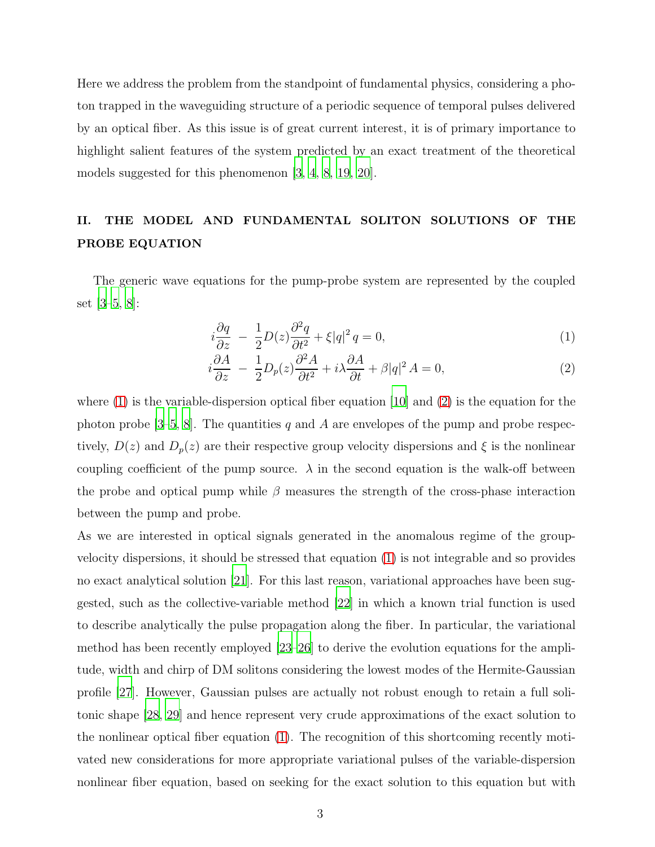Here we address the problem from the standpoint of fundamental physics, considering a photon trapped in the waveguiding structure of a periodic sequence of temporal pulses delivered by an optical fiber. As this issue is of great current interest, it is of primary importance to highlight salient features of the system predicted by an exact treatment of the theoretical models suggested for this phenomenon [\[3](#page-8-2), [4](#page-8-7), [8](#page-8-3), [19](#page-9-6), [20](#page-9-7)].

## II. THE MODEL AND FUNDAMENTAL SOLITON SOLUTIONS OF THE PROBE EQUATION

The generic wave equations for the pump-probe system are represented by the coupled set [\[3](#page-8-2)[–5](#page-8-8), [8](#page-8-3)]:

<span id="page-2-0"></span>
$$
i\frac{\partial q}{\partial z} - \frac{1}{2}D(z)\frac{\partial^2 q}{\partial t^2} + \xi|q|^2 q = 0,
$$
\n(1)

$$
i\frac{\partial A}{\partial z} - \frac{1}{2}D_p(z)\frac{\partial^2 A}{\partial t^2} + i\lambda \frac{\partial A}{\partial t} + \beta|q|^2 A = 0,\tag{2}
$$

where  $(1)$  is the variable-dispersion optical fiber equation [\[10](#page-8-6)] and  $(2)$  is the equation for the photon probe [\[3](#page-8-2)[–5,](#page-8-8) [8](#page-8-3)]. The quantities q and A are envelopes of the pump and probe respectively,  $D(z)$  and  $D_p(z)$  are their respective group velocity dispersions and  $\xi$  is the nonlinear coupling coefficient of the pump source.  $\lambda$  in the second equation is the walk-off between the probe and optical pump while  $\beta$  measures the strength of the cross-phase interaction between the pump and probe.

As we are interested in optical signals generated in the anomalous regime of the groupvelocity dispersions, it should be stressed that equation [\(1\)](#page-2-0) is not integrable and so provides no exact analytical solution [\[21](#page-9-8)]. For this last reason, variational approaches have been suggested, such as the collective-variable method [\[22](#page-9-9)] in which a known trial function is used to describe analytically the pulse propagation along the fiber. In particular, the variational method has been recently employed [\[23](#page-9-10)[–26](#page-9-11)] to derive the evolution equations for the amplitude, width and chirp of DM solitons considering the lowest modes of the Hermite-Gaussian profile [\[27](#page-9-12)]. However, Gaussian pulses are actually not robust enough to retain a full solitonic shape [\[28,](#page-9-13) [29\]](#page-9-14) and hence represent very crude approximations of the exact solution to the nonlinear optical fiber equation [\(1\)](#page-2-0). The recognition of this shortcoming recently motivated new considerations for more appropriate variational pulses of the variable-dispersion nonlinear fiber equation, based on seeking for the exact solution to this equation but with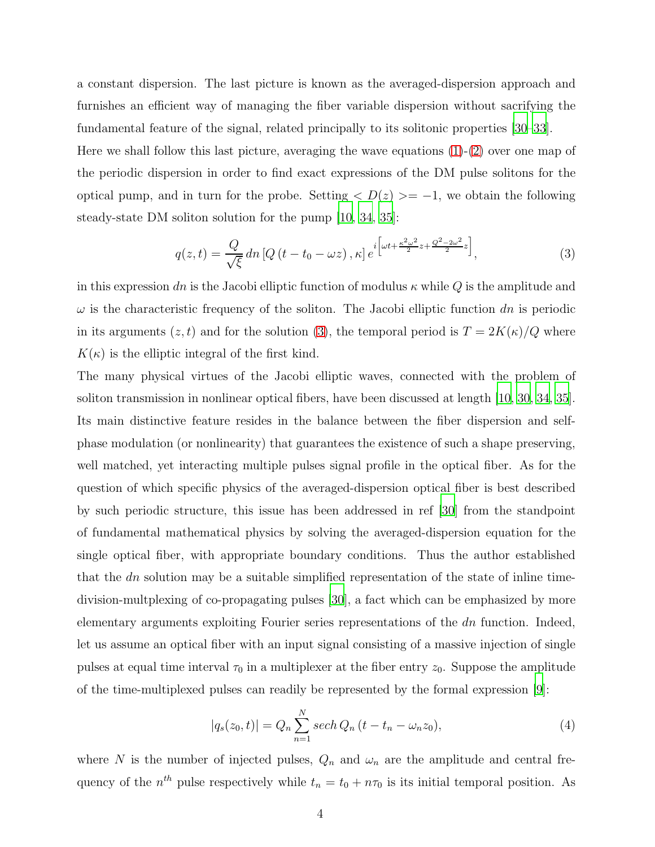a constant dispersion. The last picture is known as the averaged-dispersion approach and furnishes an efficient way of managing the fiber variable dispersion without sacrifying the fundamental feature of the signal, related principally to its solitonic properties [\[30](#page-9-15)[–33\]](#page-9-16). Here we shall follow this last picture, averaging the wave equations  $(1)-(2)$  $(1)-(2)$  over one map of the periodic dispersion in order to find exact expressions of the DM pulse solitons for the optical pump, and in turn for the probe. Setting  $\langle D(z) \rangle = -1$ , we obtain the following steady-state DM soliton solution for the pump [\[10](#page-8-6), [34](#page-9-17), [35\]](#page-9-18):

<span id="page-3-0"></span>
$$
q(z,t) = \frac{Q}{\sqrt{\xi}} dn \left[Q\left(t - t_0 - \omega z\right), \kappa\right] e^{i\left[\omega t + \frac{\kappa^2 \omega^2}{2} z + \frac{Q^2 - 2\omega^2}{2} z\right]},\tag{3}
$$

in this expression dn is the Jacobi elliptic function of modulus  $\kappa$  while Q is the amplitude and  $\omega$  is the characteristic frequency of the soliton. The Jacobi elliptic function dn is periodic in its arguments  $(z, t)$  and for the solution [\(3\)](#page-3-0), the temporal period is  $T = 2K(\kappa)/Q$  where  $K(\kappa)$  is the elliptic integral of the first kind.

The many physical virtues of the Jacobi elliptic waves, connected with the problem of soliton transmission in nonlinear optical fibers, have been discussed at length [\[10,](#page-8-6) [30,](#page-9-15) [34,](#page-9-17) [35\]](#page-9-18). Its main distinctive feature resides in the balance between the fiber dispersion and selfphase modulation (or nonlinearity) that guarantees the existence of such a shape preserving, well matched, yet interacting multiple pulses signal profile in the optical fiber. As for the question of which specific physics of the averaged-dispersion optical fiber is best described by such periodic structure, this issue has been addressed in ref [\[30](#page-9-15)] from the standpoint of fundamental mathematical physics by solving the averaged-dispersion equation for the single optical fiber, with appropriate boundary conditions. Thus the author established that the  $dn$  solution may be a suitable simplified representation of the state of inline timedivision-multplexing of co-propagating pulses [\[30\]](#page-9-15), a fact which can be emphasized by more elementary arguments exploiting Fourier series representations of the dn function. Indeed, let us assume an optical fiber with an input signal consisting of a massive injection of single pulses at equal time interval  $\tau_0$  in a multiplexer at the fiber entry  $z_0$ . Suppose the amplitude of the time-multiplexed pulses can readily be represented by the formal expression [\[9](#page-8-4)]:

<span id="page-3-1"></span>
$$
|q_s(z_0, t)| = Q_n \sum_{n=1}^{N} sech Q_n (t - t_n - \omega_n z_0),
$$
\n(4)

where N is the number of injected pulses,  $Q_n$  and  $\omega_n$  are the amplitude and central frequency of the  $n^{th}$  pulse respectively while  $t_n = t_0 + n\tau_0$  is its initial temporal position. As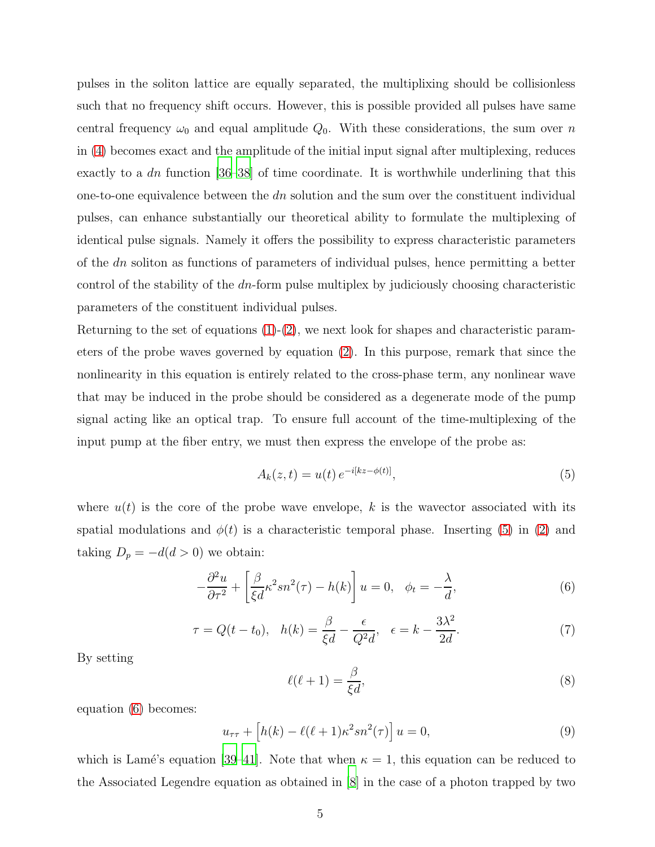pulses in the soliton lattice are equally separated, the multiplixing should be collisionless such that no frequency shift occurs. However, this is possible provided all pulses have same central frequency  $\omega_0$  and equal amplitude  $Q_0$ . With these considerations, the sum over n in [\(4\)](#page-3-1) becomes exact and the amplitude of the initial input signal after multiplexing, reduces exactly to a dn function  $[36-38]$  of time coordinate. It is worthwhile underlining that this one-to-one equivalence between the  $dn$  solution and the sum over the constituent individual pulses, can enhance substantially our theoretical ability to formulate the multiplexing of identical pulse signals. Namely it offers the possibility to express characteristic parameters of the dn soliton as functions of parameters of individual pulses, hence permitting a better control of the stability of the dn-form pulse multiplex by judiciously choosing characteristic parameters of the constituent individual pulses.

Returning to the set of equations  $(1)-(2)$  $(1)-(2)$ , we next look for shapes and characteristic parameters of the probe waves governed by equation [\(2\)](#page-2-0). In this purpose, remark that since the nonlinearity in this equation is entirely related to the cross-phase term, any nonlinear wave that may be induced in the probe should be considered as a degenerate mode of the pump signal acting like an optical trap. To ensure full account of the time-multiplexing of the input pump at the fiber entry, we must then express the envelope of the probe as:

<span id="page-4-0"></span>
$$
A_k(z,t) = u(t) e^{-i[kz - \phi(t)]},
$$
\n(5)

where  $u(t)$  is the core of the probe wave envelope, k is the wavector associated with its spatial modulations and  $\phi(t)$  is a characteristic temporal phase. Inserting [\(5\)](#page-4-0) in [\(2\)](#page-2-0) and taking  $D_p = -d(d > 0)$  we obtain:

<span id="page-4-1"></span>
$$
-\frac{\partial^2 u}{\partial \tau^2} + \left[\frac{\beta}{\xi d} \kappa^2 s n^2(\tau) - h(k)\right] u = 0, \quad \phi_t = -\frac{\lambda}{d},\tag{6}
$$

$$
\tau = Q(t - t_0), \quad h(k) = \frac{\beta}{\xi d} - \frac{\epsilon}{Q^2 d}, \quad \epsilon = k - \frac{3\lambda^2}{2d}.\tag{7}
$$

By setting

<span id="page-4-2"></span>
$$
\ell(\ell+1) = \frac{\beta}{\xi d},\tag{8}
$$

equation [\(6\)](#page-4-1) becomes:

$$
u_{\tau\tau} + \left[h(k) - \ell(\ell+1)\kappa^2 sn^2(\tau)\right]u = 0,\tag{9}
$$

which is Lamé's equation [\[39](#page-10-1)[–41\]](#page-10-2). Note that when  $\kappa = 1$ , this equation can be reduced to the Associated Legendre equation as obtained in [\[8\]](#page-8-3) in the case of a photon trapped by two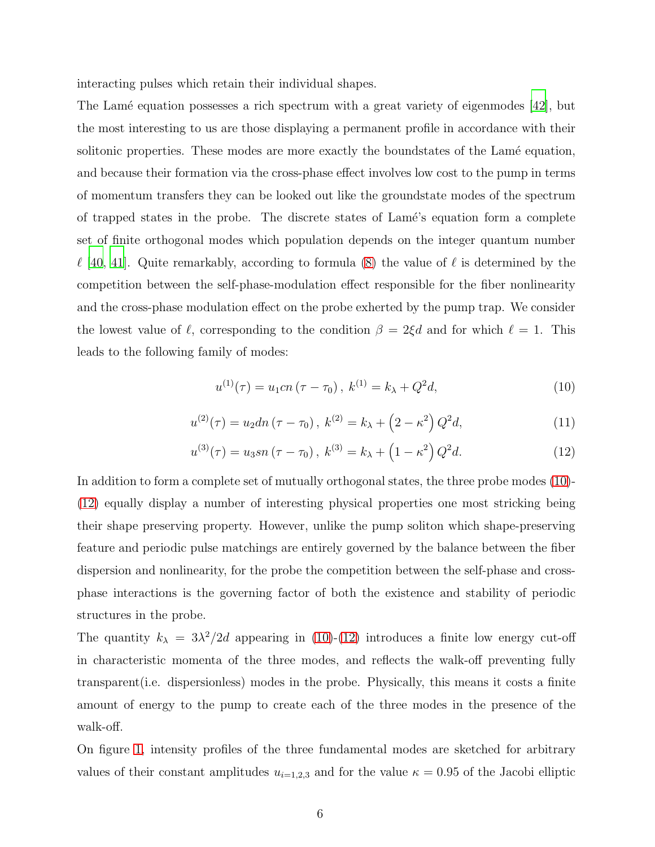interacting pulses which retain their individual shapes.

The Lame equation possesses a rich spectrum with a great variety of eigenmodes [\[42\]](#page-10-3), but the most interesting to us are those displaying a permanent profile in accordance with their solitonic properties. These modes are more exactly the boundstates of the Lamé equation, and because their formation via the cross-phase effect involves low cost to the pump in terms of momentum transfers they can be looked out like the groundstate modes of the spectrum of trapped states in the probe. The discrete states of Lam´e's equation form a complete set of finite orthogonal modes which population depends on the integer quantum number  $\ell$  [\[40](#page-10-4), [41\]](#page-10-2). Quite remarkably, according to formula [\(8\)](#page-4-2) the value of  $\ell$  is determined by the competition between the self-phase-modulation effect responsible for the fiber nonlinearity and the cross-phase modulation effect on the probe exherted by the pump trap. We consider the lowest value of  $\ell$ , corresponding to the condition  $\beta = 2\xi d$  and for which  $\ell = 1$ . This leads to the following family of modes:

<span id="page-5-0"></span>
$$
u^{(1)}(\tau) = u_1 c n (\tau - \tau_0), \ k^{(1)} = k_\lambda + Q^2 d,\tag{10}
$$

$$
u^{(2)}(\tau) = u_2 \, \mathrm{d}n \, (\tau - \tau_0), \ k^{(2)} = k_\lambda + \left(2 - \kappa^2\right) Q^2 \, \mathrm{d}, \tag{11}
$$

<span id="page-5-1"></span>
$$
u^{(3)}(\tau) = u_3 sn \left(\tau - \tau_0\right), \ k^{(3)} = k_\lambda + \left(1 - \kappa^2\right) Q^2 d. \tag{12}
$$

In addition to form a complete set of mutually orthogonal states, the three probe modes [\(10\)](#page-5-0)- [\(12\)](#page-5-1) equally display a number of interesting physical properties one most stricking being their shape preserving property. However, unlike the pump soliton which shape-preserving feature and periodic pulse matchings are entirely governed by the balance between the fiber dispersion and nonlinearity, for the probe the competition between the self-phase and crossphase interactions is the governing factor of both the existence and stability of periodic structures in the probe.

The quantity  $k_{\lambda} = 3\lambda^2/2d$  appearing in [\(10\)](#page-5-0)-[\(12\)](#page-5-1) introduces a finite low energy cut-off in characteristic momenta of the three modes, and reflects the walk-off preventing fully transparent(i.e. dispersionless) modes in the probe. Physically, this means it costs a finite amount of energy to the pump to create each of the three modes in the presence of the walk-off.

On figure [1,](#page-6-0) intensity profiles of the three fundamental modes are sketched for arbitrary values of their constant amplitudes  $u_{i=1,2,3}$  and for the value  $\kappa = 0.95$  of the Jacobi elliptic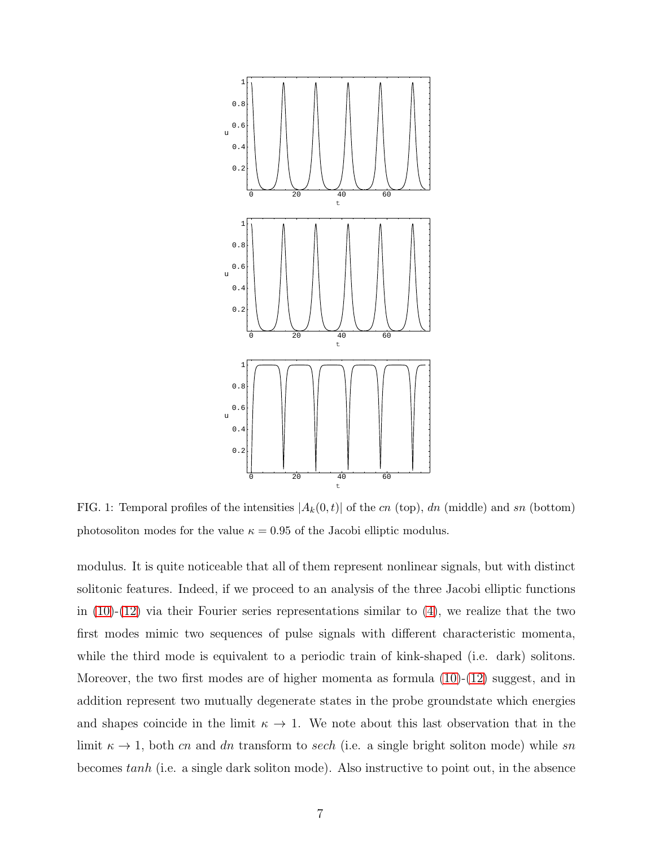

<span id="page-6-0"></span>FIG. 1: Temporal profiles of the intensities  $|A_k(0,t)|$  of the cn (top), dn (middle) and sn (bottom) photosoliton modes for the value  $\kappa = 0.95$  of the Jacobi elliptic modulus.

modulus. It is quite noticeable that all of them represent nonlinear signals, but with distinct solitonic features. Indeed, if we proceed to an analysis of the three Jacobi elliptic functions in  $(10)-(12)$  $(10)-(12)$  via their Fourier series representations similar to  $(4)$ , we realize that the two first modes mimic two sequences of pulse signals with different characteristic momenta, while the third mode is equivalent to a periodic train of kink-shaped (i.e. dark) solitons. Moreover, the two first modes are of higher momenta as formula  $(10)-(12)$  $(10)-(12)$  suggest, and in addition represent two mutually degenerate states in the probe groundstate which energies and shapes coincide in the limit  $\kappa \to 1$ . We note about this last observation that in the limit  $\kappa \to 1$ , both cn and dn transform to sech (i.e. a single bright soliton mode) while sn becomes tanh (i.e. a single dark soliton mode). Also instructive to point out, in the absence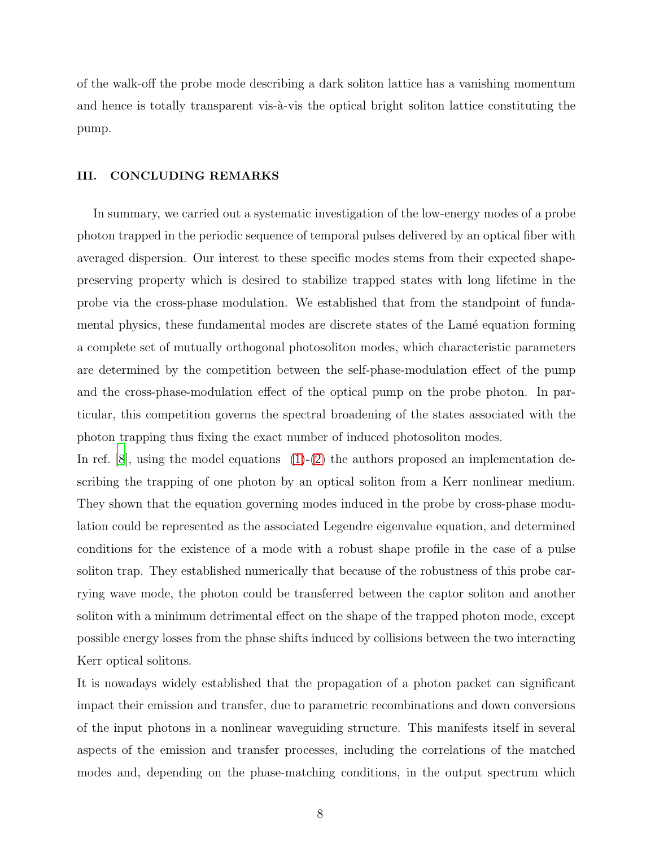of the walk-off the probe mode describing a dark soliton lattice has a vanishing momentum and hence is totally transparent vis- $\lambda$ -vis the optical bright soliton lattice constituting the pump.

### III. CONCLUDING REMARKS

In summary, we carried out a systematic investigation of the low-energy modes of a probe photon trapped in the periodic sequence of temporal pulses delivered by an optical fiber with averaged dispersion. Our interest to these specific modes stems from their expected shapepreserving property which is desired to stabilize trapped states with long lifetime in the probe via the cross-phase modulation. We established that from the standpoint of fundamental physics, these fundamental modes are discrete states of the Lamé equation forming a complete set of mutually orthogonal photosoliton modes, which characteristic parameters are determined by the competition between the self-phase-modulation effect of the pump and the cross-phase-modulation effect of the optical pump on the probe photon. In particular, this competition governs the spectral broadening of the states associated with the photon trapping thus fixing the exact number of induced photosoliton modes.

In ref.  $[8]$ , using the model equations  $(1)-(2)$  $(1)-(2)$  the authors proposed an implementation describing the trapping of one photon by an optical soliton from a Kerr nonlinear medium. They shown that the equation governing modes induced in the probe by cross-phase modulation could be represented as the associated Legendre eigenvalue equation, and determined conditions for the existence of a mode with a robust shape profile in the case of a pulse soliton trap. They established numerically that because of the robustness of this probe carrying wave mode, the photon could be transferred between the captor soliton and another soliton with a minimum detrimental effect on the shape of the trapped photon mode, except possible energy losses from the phase shifts induced by collisions between the two interacting Kerr optical solitons.

It is nowadays widely established that the propagation of a photon packet can significant impact their emission and transfer, due to parametric recombinations and down conversions of the input photons in a nonlinear waveguiding structure. This manifests itself in several aspects of the emission and transfer processes, including the correlations of the matched modes and, depending on the phase-matching conditions, in the output spectrum which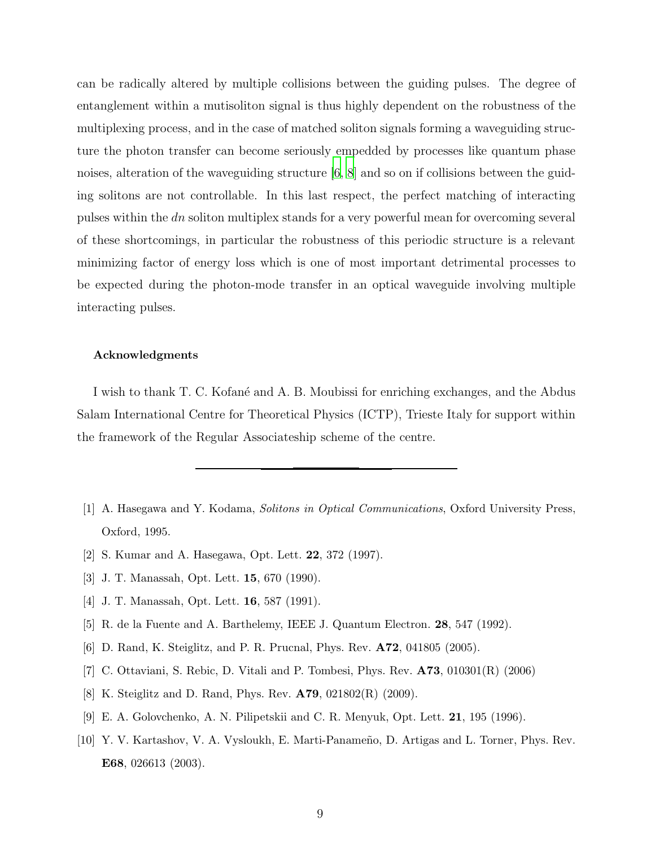can be radically altered by multiple collisions between the guiding pulses. The degree of entanglement within a mutisoliton signal is thus highly dependent on the robustness of the multiplexing process, and in the case of matched soliton signals forming a waveguiding structure the photon transfer can become seriously empedded by processes like quantum phase noises, alteration of the waveguiding structure [\[6](#page-8-5), [8\]](#page-8-3) and so on if collisions between the guiding solitons are not controllable. In this last respect, the perfect matching of interacting pulses within the dn soliton multiplex stands for a very powerful mean for overcoming several of these shortcomings, in particular the robustness of this periodic structure is a relevant minimizing factor of energy loss which is one of most important detrimental processes to be expected during the photon-mode transfer in an optical waveguide involving multiple interacting pulses.

#### Acknowledgments

I wish to thank T. C. Kofané and A. B. Moubissi for enriching exchanges, and the Abdus Salam International Centre for Theoretical Physics (ICTP), Trieste Italy for support within the framework of the Regular Associateship scheme of the centre.

- <span id="page-8-0"></span>[1] A. Hasegawa and Y. Kodama, Solitons in Optical Communications, Oxford University Press, Oxford, 1995.
- <span id="page-8-1"></span>[2] S. Kumar and A. Hasegawa, Opt. Lett. 22, 372 (1997).
- <span id="page-8-2"></span>[3] J. T. Manassah, Opt. Lett. 15, 670 (1990).
- <span id="page-8-7"></span>[4] J. T. Manassah, Opt. Lett. 16, 587 (1991).
- <span id="page-8-8"></span>[5] R. de la Fuente and A. Barthelemy, IEEE J. Quantum Electron. 28, 547 (1992).
- <span id="page-8-5"></span>[6] D. Rand, K. Steiglitz, and P. R. Prucnal, Phys. Rev. A72, 041805 (2005).
- [7] C. Ottaviani, S. Rebic, D. Vitali and P. Tombesi, Phys. Rev. A73, 010301(R) (2006)
- <span id="page-8-3"></span>[8] K. Steiglitz and D. Rand, Phys. Rev. A79, 021802(R) (2009).
- <span id="page-8-4"></span>[9] E. A. Golovchenko, A. N. Pilipetskii and C. R. Menyuk, Opt. Lett. 21, 195 (1996).
- <span id="page-8-6"></span>[10] Y. V. Kartashov, V. A. Vysloukh, E. Marti-Panameño, D. Artigas and L. Torner, Phys. Rev. E68, 026613 (2003).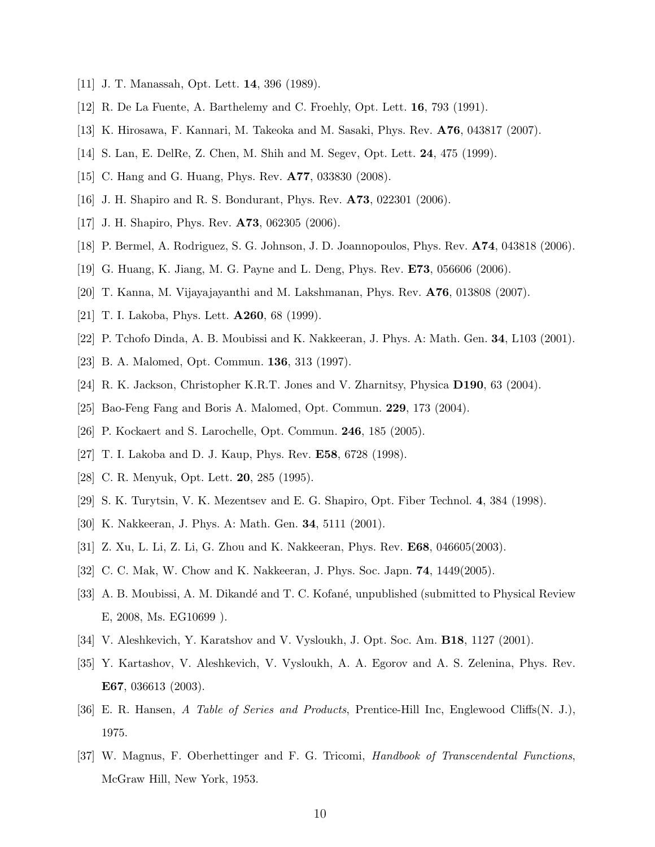- <span id="page-9-1"></span><span id="page-9-0"></span>[11] J. T. Manassah, Opt. Lett. 14, 396 (1989).
- [12] R. De La Fuente, A. Barthelemy and C. Froehly, Opt. Lett. 16, 793 (1991).
- [13] K. Hirosawa, F. Kannari, M. Takeoka and M. Sasaki, Phys. Rev. A76, 043817 (2007).
- <span id="page-9-2"></span>[14] S. Lan, E. DelRe, Z. Chen, M. Shih and M. Segev, Opt. Lett. 24, 475 (1999).
- <span id="page-9-3"></span>[15] C. Hang and G. Huang, Phys. Rev. A77, 033830 (2008).
- <span id="page-9-4"></span>[16] J. H. Shapiro and R. S. Bondurant, Phys. Rev. A73, 022301 (2006).
- <span id="page-9-5"></span>[17] J. H. Shapiro, Phys. Rev. A73, 062305 (2006).
- <span id="page-9-6"></span>[18] P. Bermel, A. Rodriguez, S. G. Johnson, J. D. Joannopoulos, Phys. Rev. A74, 043818 (2006).
- [19] G. Huang, K. Jiang, M. G. Payne and L. Deng, Phys. Rev. E73, 056606 (2006).
- <span id="page-9-8"></span><span id="page-9-7"></span>[20] T. Kanna, M. Vijayajayanthi and M. Lakshmanan, Phys. Rev. A76, 013808 (2007).
- <span id="page-9-9"></span>[21] T. I. Lakoba, Phys. Lett. A260, 68 (1999).
- <span id="page-9-10"></span>[22] P. Tchofo Dinda, A. B. Moubissi and K. Nakkeeran, J. Phys. A: Math. Gen. 34, L103 (2001).
- [23] B. A. Malomed, Opt. Commun. 136, 313 (1997).
- [24] R. K. Jackson, Christopher K.R.T. Jones and V. Zharnitsy, Physica D190, 63 (2004).
- <span id="page-9-11"></span>[25] Bao-Feng Fang and Boris A. Malomed, Opt. Commun. 229, 173 (2004).
- <span id="page-9-12"></span>[26] P. Kockaert and S. Larochelle, Opt. Commun. 246, 185 (2005).
- [27] T. I. Lakoba and D. J. Kaup, Phys. Rev. E58, 6728 (1998).
- <span id="page-9-13"></span>[28] C. R. Menyuk, Opt. Lett. 20, 285 (1995).
- <span id="page-9-14"></span>[29] S. K. Turytsin, V. K. Mezentsev and E. G. Shapiro, Opt. Fiber Technol. 4, 384 (1998).
- <span id="page-9-15"></span>[30] K. Nakkeeran, J. Phys. A: Math. Gen. 34, 5111 (2001).
- [31] Z. Xu, L. Li, Z. Li, G. Zhou and K. Nakkeeran, Phys. Rev. E68, 046605(2003).
- [32] C. C. Mak, W. Chow and K. Nakkeeran, J. Phys. Soc. Japn. 74, 1449(2005).
- <span id="page-9-16"></span>[33] A. B. Moubissi, A. M. Dikandé and T. C. Kofané, unpublished (submitted to Physical Review E, 2008, Ms. EG10699 ).
- <span id="page-9-17"></span>[34] V. Aleshkevich, Y. Karatshov and V. Vysloukh, J. Opt. Soc. Am. B18, 1127 (2001).
- <span id="page-9-18"></span>[35] Y. Kartashov, V. Aleshkevich, V. Vysloukh, A. A. Egorov and A. S. Zelenina, Phys. Rev. E67, 036613 (2003).
- <span id="page-9-19"></span>[36] E. R. Hansen, A Table of Series and Products, Prentice-Hill Inc, Englewood Cliffs(N. J.), 1975.
- [37] W. Magnus, F. Oberhettinger and F. G. Tricomi, Handbook of Transcendental Functions, McGraw Hill, New York, 1953.